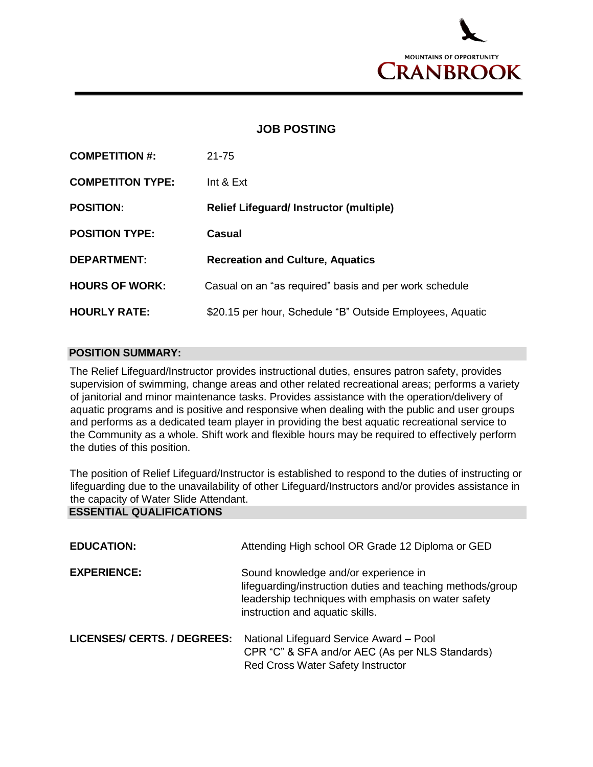

## **JOB POSTING**

| <b>COMPETITION #:</b>   | $21 - 75$                                                 |
|-------------------------|-----------------------------------------------------------|
| <b>COMPETITON TYPE:</b> | Int $&Ext$                                                |
| <b>POSITION:</b>        | <b>Relief Lifeguard/Instructor (multiple)</b>             |
| <b>POSITION TYPE:</b>   | <b>Casual</b>                                             |
| <b>DEPARTMENT:</b>      | <b>Recreation and Culture, Aquatics</b>                   |
| <b>HOURS OF WORK:</b>   | Casual on an "as required" basis and per work schedule    |
| <b>HOURLY RATE:</b>     | \$20.15 per hour, Schedule "B" Outside Employees, Aquatic |

## **POSITION SUMMARY:**

The Relief Lifeguard/Instructor provides instructional duties, ensures patron safety, provides supervision of swimming, change areas and other related recreational areas; performs a variety of janitorial and minor maintenance tasks. Provides assistance with the operation/delivery of aquatic programs and is positive and responsive when dealing with the public and user groups and performs as a dedicated team player in providing the best aquatic recreational service to the Community as a whole. Shift work and flexible hours may be required to effectively perform the duties of this position.

The position of Relief Lifeguard/Instructor is established to respond to the duties of instructing or lifeguarding due to the unavailability of other Lifeguard/Instructors and/or provides assistance in the capacity of Water Slide Attendant.

## **ESSENTIAL QUALIFICATIONS**

| <b>EDUCATION:</b>           | Attending High school OR Grade 12 Diploma or GED                                                                                                                                             |
|-----------------------------|----------------------------------------------------------------------------------------------------------------------------------------------------------------------------------------------|
| <b>EXPERIENCE:</b>          | Sound knowledge and/or experience in<br>lifeguarding/instruction duties and teaching methods/group<br>leadership techniques with emphasis on water safety<br>instruction and aquatic skills. |
| LICENSES/ CERTS. / DEGREES: | National Lifeguard Service Award - Pool<br>CPR "C" & SFA and/or AEC (As per NLS Standards)<br><b>Red Cross Water Safety Instructor</b>                                                       |